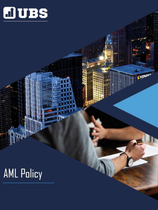

KKEMPF

## **AML Policy**